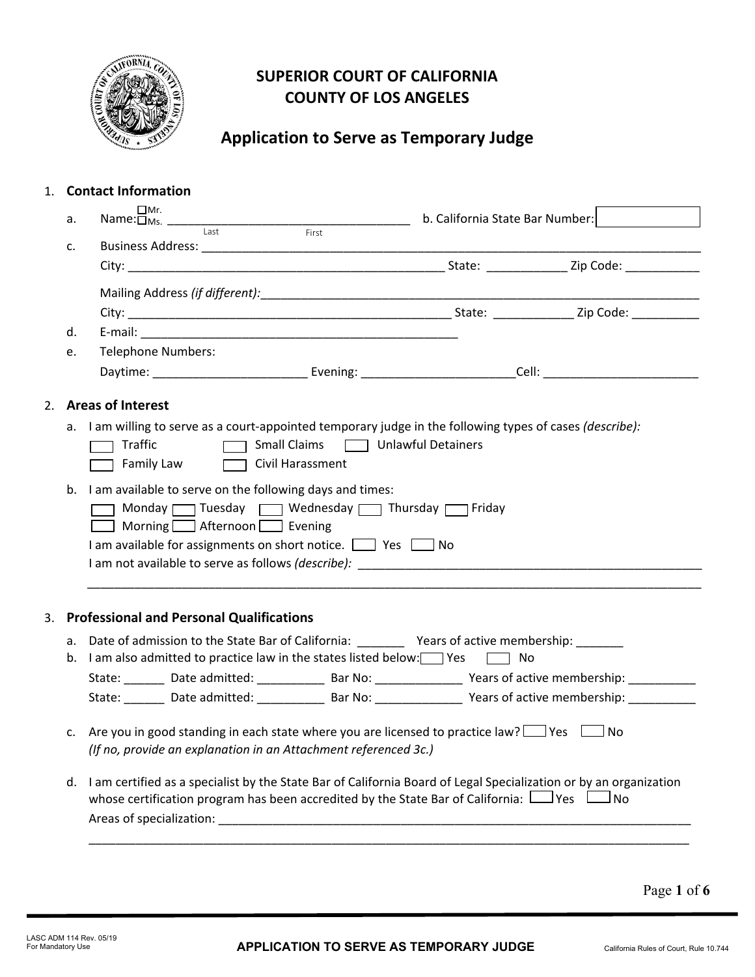

### **SUPERIOR COURT OF CALIFORNIA COUNTY OF LOS ANGELES**

## **Application to Serve as Temporary Judge**

### 1. **Contact Information**

| а. | $\Box$ Mr.                                                                                                                                                                                                                                                                                                                        | b. California State Bar Number: |  |
|----|-----------------------------------------------------------------------------------------------------------------------------------------------------------------------------------------------------------------------------------------------------------------------------------------------------------------------------------|---------------------------------|--|
| c. | First                                                                                                                                                                                                                                                                                                                             |                                 |  |
|    |                                                                                                                                                                                                                                                                                                                                   |                                 |  |
|    |                                                                                                                                                                                                                                                                                                                                   |                                 |  |
|    |                                                                                                                                                                                                                                                                                                                                   |                                 |  |
| d. |                                                                                                                                                                                                                                                                                                                                   |                                 |  |
| e. | <b>Telephone Numbers:</b>                                                                                                                                                                                                                                                                                                         |                                 |  |
|    |                                                                                                                                                                                                                                                                                                                                   |                                 |  |
|    | 2. Areas of Interest                                                                                                                                                                                                                                                                                                              |                                 |  |
|    | a. I am willing to serve as a court-appointed temporary judge in the following types of cases (describe):<br>$\Box$ Small Claims<br>Traffic<br>Family Law <b>Transform</b> Civil Harassment                                                                                                                                       | Unlawful Detainers              |  |
|    |                                                                                                                                                                                                                                                                                                                                   |                                 |  |
|    | b. I am available to serve on the following days and times:<br>Monday Tuesday TWednesday Thursday Triday<br>Morning Afternoon Sevening<br>I am available for assignments on short notice. $\Box$ Yes $\Box$ No<br>I am not available to serve as follows (describe): Noting the server and the server of the server of the server |                                 |  |
| 3. | <b>Professional and Personal Qualifications</b>                                                                                                                                                                                                                                                                                   |                                 |  |
|    |                                                                                                                                                                                                                                                                                                                                   |                                 |  |
|    | a. Date of admission to the State Bar of California: __________ Years of active membership: _______<br>b. I am also admitted to practice law in the states listed below: Yes                                                                                                                                                      | $\Box$ No                       |  |
|    | State: _______ Date admitted: ___________ Bar No: _______________ Years of active membership: ___________                                                                                                                                                                                                                         |                                 |  |
|    | State: _______ Date admitted: ___________ Bar No: ______________ Years of active membership: ____________                                                                                                                                                                                                                         |                                 |  |
| c. | Are you in good standing in each state where you are licensed to practice law? $\Box$ Yes $\Box$ No<br>(If no, provide an explanation in an Attachment referenced 3c.)                                                                                                                                                            |                                 |  |
|    | d. I am certified as a specialist by the State Bar of California Board of Legal Specialization or by an organization<br>whose certification program has been accredited by the State Bar of California: $\Box$ Yes $\Box$ No                                                                                                      |                                 |  |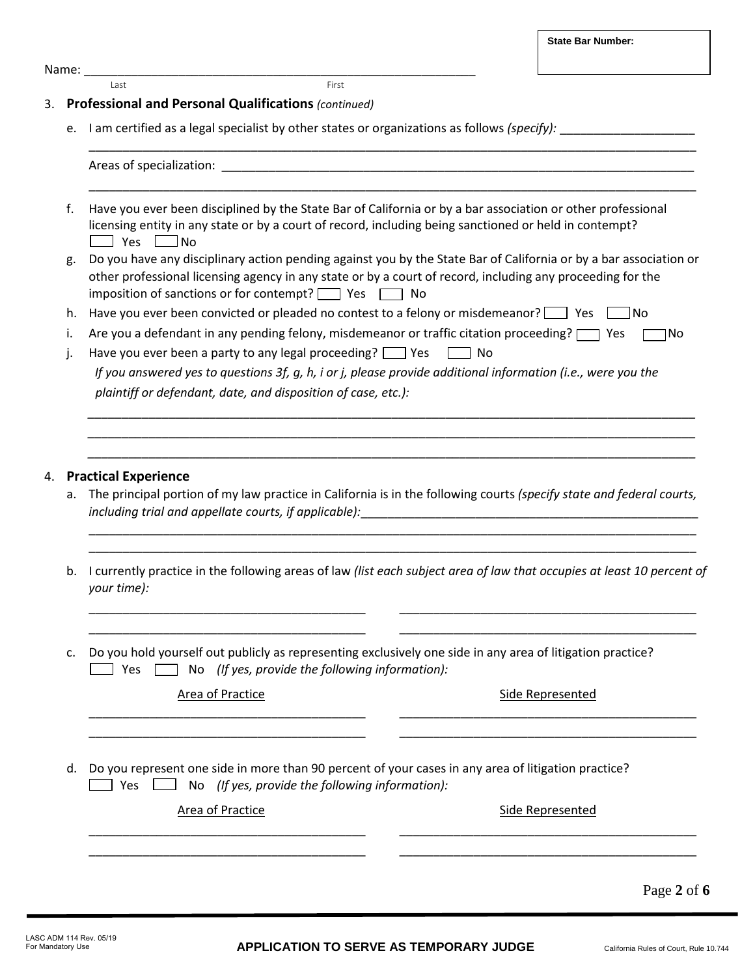**State Bar Number:**

Name: \_\_\_\_\_\_\_\_\_\_\_\_\_\_\_\_\_\_\_\_\_\_\_\_\_\_\_\_\_\_\_\_\_\_\_\_\_\_\_\_\_\_\_\_\_\_\_\_\_\_\_\_\_\_\_\_\_\_

Last **First** 

### 3. **Professional and Personal Qualifications** *(continued)*

e. I am certified as a legal specialist by other states or organizations as follows *(specify):* \_\_\_\_\_\_\_\_\_\_\_\_\_\_\_\_\_\_\_\_

|    | Areas of specialization:                                                                                                                                                                                                                                                                         |  |  |  |
|----|--------------------------------------------------------------------------------------------------------------------------------------------------------------------------------------------------------------------------------------------------------------------------------------------------|--|--|--|
| f. | Have you ever been disciplined by the State Bar of California or by a bar association or other professional<br>licensing entity in any state or by a court of record, including being sanctioned or held in contempt?<br>_____ Yes [<br>Mo                                                       |  |  |  |
| g. | Do you have any disciplinary action pending against you by the State Bar of California or by a bar association or<br>other professional licensing agency in any state or by a court of record, including any proceeding for the<br>imposition of sanctions or for contempt? $\Box$ Yes $\Box$ No |  |  |  |
| h. | Have you ever been convicted or pleaded no contest to a felony or misdemeanor? $\Box$ Yes<br>$\Box$ No                                                                                                                                                                                           |  |  |  |
| i. | Are you a defendant in any pending felony, misdemeanor or traffic citation proceeding? [<br>1No<br>T Yes                                                                                                                                                                                         |  |  |  |
| J. | Have you ever been a party to any legal proceeding? $\Box$ Yes<br>$\Box$ No                                                                                                                                                                                                                      |  |  |  |
|    | If you answered yes to questions 3f, g, h, i or j, please provide additional information (i.e., were you the                                                                                                                                                                                     |  |  |  |
|    | plaintiff or defendant, date, and disposition of case, etc.):                                                                                                                                                                                                                                    |  |  |  |
|    | <b>Practical Experience</b>                                                                                                                                                                                                                                                                      |  |  |  |
| а. | The principal portion of my law practice in California is in the following courts (specify state and federal courts,<br>including trial and appellate courts, if applicable):                                                                                                                    |  |  |  |
|    |                                                                                                                                                                                                                                                                                                  |  |  |  |
| b. | I currently practice in the following areas of law (list each subject area of law that occupies at least 10 percent of<br>your time):                                                                                                                                                            |  |  |  |
| c. | Do you hold yourself out publicly as representing exclusively one side in any area of litigation practice?<br>No (If yes, provide the following information):<br>Yes                                                                                                                             |  |  |  |
|    | <b>Area of Practice</b><br><b>Side Represented</b>                                                                                                                                                                                                                                               |  |  |  |
| d. | Do you represent one side in more than 90 percent of your cases in any area of litigation practice?<br>No (If yes, provide the following information):<br>Yes                                                                                                                                    |  |  |  |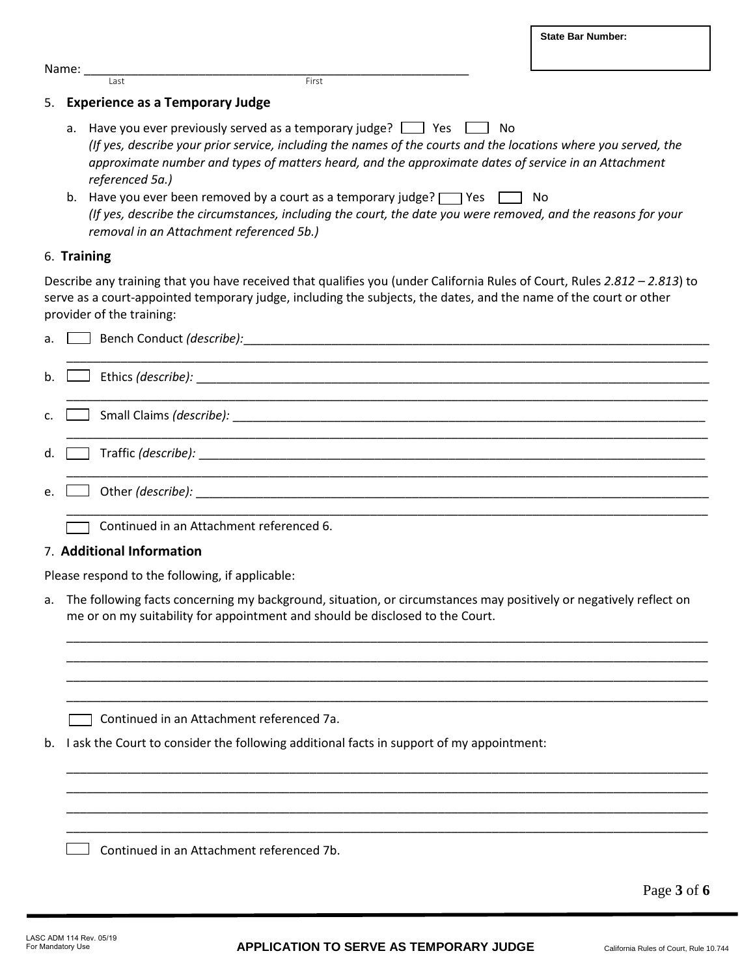|         |                                                                                                                |                                                                         | <b>State Bar Number:</b>                                                                                                                                                                                                                       |
|---------|----------------------------------------------------------------------------------------------------------------|-------------------------------------------------------------------------|------------------------------------------------------------------------------------------------------------------------------------------------------------------------------------------------------------------------------------------------|
| Name: _ |                                                                                                                |                                                                         |                                                                                                                                                                                                                                                |
|         | <b>Last</b>                                                                                                    | First                                                                   |                                                                                                                                                                                                                                                |
|         | 5. Experience as a Temporary Judge                                                                             |                                                                         |                                                                                                                                                                                                                                                |
| а.      | referenced 5a.)                                                                                                | Have you ever previously served as a temporary judge? $\Box$ Yes $\Box$ | No<br>(If yes, describe your prior service, including the names of the courts and the locations where you served, the<br>approximate number and types of matters heard, and the approximate dates of service in an Attachment                  |
| b.      | removal in an Attachment referenced 5b.)                                                                       | Have you ever been removed by a court as a temporary judge? $\Box$ Yes  | No<br>(If yes, describe the circumstances, including the court, the date you were removed, and the reasons for your                                                                                                                            |
|         | 6. Training                                                                                                    |                                                                         |                                                                                                                                                                                                                                                |
|         | provider of the training:                                                                                      |                                                                         | Describe any training that you have received that qualifies you (under California Rules of Court, Rules 2.812 - 2.813) to<br>serve as a court-appointed temporary judge, including the subjects, the dates, and the name of the court or other |
| a.      | Bench Conduct (describe):                                                                                      |                                                                         |                                                                                                                                                                                                                                                |
| b.      | Ethics (describe): National Contract of the Contract of the Contract of the Contract of the Contract of the Co |                                                                         |                                                                                                                                                                                                                                                |
| c.      | Small Claims (describe):                                                                                       |                                                                         |                                                                                                                                                                                                                                                |

\_\_\_\_\_\_\_\_\_\_\_\_\_\_\_\_\_\_\_\_\_\_\_\_\_\_\_\_\_\_\_\_\_\_\_\_\_\_\_\_\_\_\_\_\_\_\_\_\_\_\_\_\_\_\_\_\_\_\_\_\_\_\_\_\_\_\_\_\_\_\_\_\_\_\_\_\_\_\_\_\_\_\_\_\_\_\_\_\_\_\_\_\_\_\_

\_\_\_\_\_\_\_\_\_\_\_\_\_\_\_\_\_\_\_\_\_\_\_\_\_\_\_\_\_\_\_\_\_\_\_\_\_\_\_\_\_\_\_\_\_\_\_\_\_\_\_\_\_\_\_\_\_\_\_\_\_\_\_\_\_\_\_\_\_\_\_\_\_\_\_\_\_\_\_\_\_\_\_\_\_\_\_\_\_\_\_\_\_\_\_

- d. Traffic *(describe):* \_\_\_\_\_\_\_\_\_\_\_\_\_\_\_\_\_\_\_\_\_\_\_\_\_\_\_\_\_\_\_\_\_\_\_\_\_\_\_\_\_\_\_\_\_\_\_\_\_\_\_\_\_\_\_\_\_\_\_\_\_\_\_\_\_\_\_\_\_\_\_\_\_\_\_
- e. <u>Queen and the *(describe):*</u>  $\blacksquare$  Other *(describe):*

Continued in an Attachment referenced 6.

### 7. **Additional Information**

Г

Please respond to the following, if applicable:

a. The following facts concerning my background, situation, or circumstances may positively or negatively reflect on me or on my suitability for appointment and should be disclosed to the Court.

\_\_\_\_\_\_\_\_\_\_\_\_\_\_\_\_\_\_\_\_\_\_\_\_\_\_\_\_\_\_\_\_\_\_\_\_\_\_\_\_\_\_\_\_\_\_\_\_\_\_\_\_\_\_\_\_\_\_\_\_\_\_\_\_\_\_\_\_\_\_\_\_\_\_\_\_\_\_\_\_\_\_\_\_\_\_\_\_\_\_\_\_\_\_\_ \_\_\_\_\_\_\_\_\_\_\_\_\_\_\_\_\_\_\_\_\_\_\_\_\_\_\_\_\_\_\_\_\_\_\_\_\_\_\_\_\_\_\_\_\_\_\_\_\_\_\_\_\_\_\_\_\_\_\_\_\_\_\_\_\_\_\_\_\_\_\_\_\_\_\_\_\_\_\_\_\_\_\_\_\_\_\_\_\_\_\_\_\_\_\_ \_\_\_\_\_\_\_\_\_\_\_\_\_\_\_\_\_\_\_\_\_\_\_\_\_\_\_\_\_\_\_\_\_\_\_\_\_\_\_\_\_\_\_\_\_\_\_\_\_\_\_\_\_\_\_\_\_\_\_\_\_\_\_\_\_\_\_\_\_\_\_\_\_\_\_\_\_\_\_\_\_\_\_\_\_\_\_\_\_\_\_\_\_\_\_ \_\_\_\_\_\_\_\_\_\_\_\_\_\_\_\_\_\_\_\_\_\_\_\_\_\_\_\_\_\_\_\_\_\_\_\_\_\_\_\_\_\_\_\_\_\_\_\_\_\_\_\_\_\_\_\_\_\_\_\_\_\_\_\_\_\_\_\_\_\_\_\_\_\_\_\_\_\_\_\_\_\_\_\_\_\_\_\_\_\_\_\_\_\_\_

\_\_\_\_\_\_\_\_\_\_\_\_\_\_\_\_\_\_\_\_\_\_\_\_\_\_\_\_\_\_\_\_\_\_\_\_\_\_\_\_\_\_\_\_\_\_\_\_\_\_\_\_\_\_\_\_\_\_\_\_\_\_\_\_\_\_\_\_\_\_\_\_\_\_\_\_\_\_\_\_\_\_\_\_\_\_\_\_\_\_\_\_\_\_\_ \_\_\_\_\_\_\_\_\_\_\_\_\_\_\_\_\_\_\_\_\_\_\_\_\_\_\_\_\_\_\_\_\_\_\_\_\_\_\_\_\_\_\_\_\_\_\_\_\_\_\_\_\_\_\_\_\_\_\_\_\_\_\_\_\_\_\_\_\_\_\_\_\_\_\_\_\_\_\_\_\_\_\_\_\_\_\_\_\_\_\_\_\_\_\_ \_\_\_\_\_\_\_\_\_\_\_\_\_\_\_\_\_\_\_\_\_\_\_\_\_\_\_\_\_\_\_\_\_\_\_\_\_\_\_\_\_\_\_\_\_\_\_\_\_\_\_\_\_\_\_\_\_\_\_\_\_\_\_\_\_\_\_\_\_\_\_\_\_\_\_\_\_\_\_\_\_\_\_\_\_\_\_\_\_\_\_\_\_\_\_ \_\_\_\_\_\_\_\_\_\_\_\_\_\_\_\_\_\_\_\_\_\_\_\_\_\_\_\_\_\_\_\_\_\_\_\_\_\_\_\_\_\_\_\_\_\_\_\_\_\_\_\_\_\_\_\_\_\_\_\_\_\_\_\_\_\_\_\_\_\_\_\_\_\_\_\_\_\_\_\_\_\_\_\_\_\_\_\_\_\_\_\_\_\_\_

\_\_\_\_\_\_\_\_\_\_\_\_\_\_\_\_\_\_\_\_\_\_\_\_\_\_\_\_\_\_\_\_\_\_\_\_\_\_\_\_\_\_\_\_\_\_\_\_\_\_\_\_\_\_\_\_\_\_\_\_\_\_\_\_\_\_\_\_\_\_\_\_\_\_\_\_\_\_\_\_\_\_\_\_\_\_\_\_\_\_\_\_\_\_\_

Continued in an Attachment referenced 7a.

b. I ask the Court to consider the following additional facts in support of my appointment:

 $\Box$  Continued in an Attachment referenced 7b.

Page **3** of **6**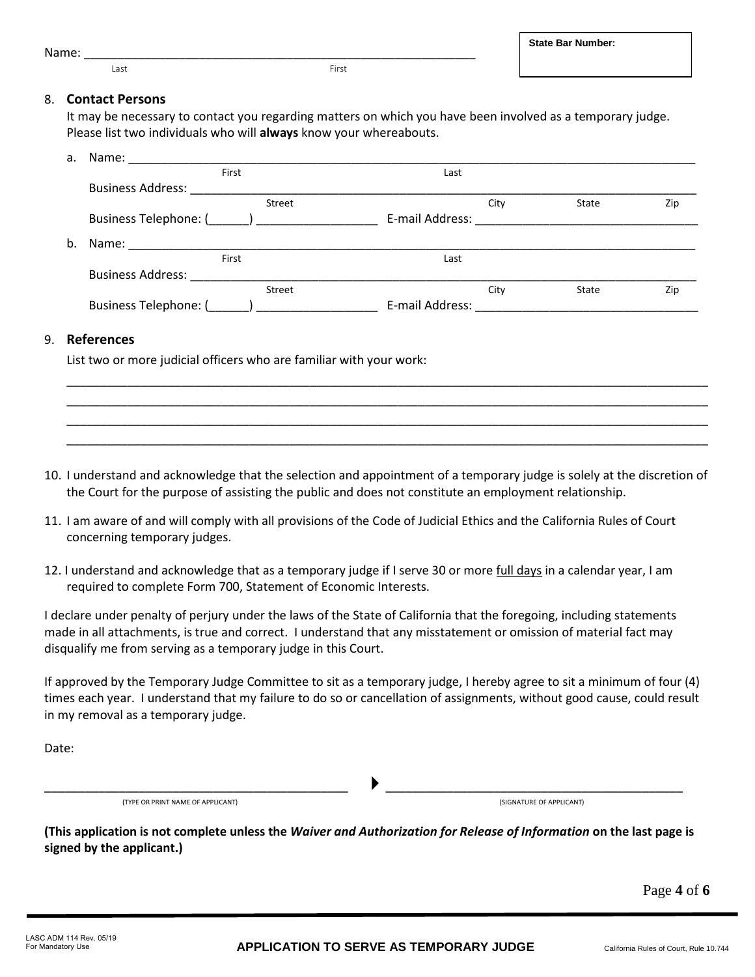# 8. **Contact Persons**

It may be necessary to contact you regarding matters on which you have been involved as a temporary judge. Please list two individuals who will **always** know your whereabouts.

| а. | Name:                            |                 |      |       |     |
|----|----------------------------------|-----------------|------|-------|-----|
|    | First                            | Last            |      |       |     |
|    | <b>Business Address:</b>         |                 |      |       |     |
|    | Street                           |                 | City | State | Zip |
|    | Business Telephone: (Comparison) | E-mail Address: |      |       |     |
| b. | Name:                            |                 |      |       |     |
|    | First                            | Last            |      |       |     |
|    | <b>Business Address:</b>         |                 |      |       |     |
|    | Street                           |                 | City | State | Zip |
|    | <b>Business Telephone: (</b>     | E-mail Address: |      |       |     |
|    |                                  |                 |      |       |     |

### 9. **References**

List two or more judicial officers who are familiar with your work:

Name: \_\_\_\_\_\_\_\_\_\_\_\_\_\_\_\_\_\_\_\_\_\_\_\_\_\_\_\_\_\_\_\_\_\_\_\_\_\_\_\_\_\_\_\_\_\_\_\_\_\_\_\_\_\_\_\_\_\_

Last **First** 

10. I understand and acknowledge that the selection and appointment of a temporary judge is solely at the discretion of the Court for the purpose of assisting the public and does not constitute an employment relationship.

\_\_\_\_\_\_\_\_\_\_\_\_\_\_\_\_\_\_\_\_\_\_\_\_\_\_\_\_\_\_\_\_\_\_\_\_\_\_\_\_\_\_\_\_\_\_\_\_\_\_\_\_\_\_\_\_\_\_\_\_\_\_\_\_\_\_\_\_\_\_\_\_\_\_\_\_\_\_\_\_\_\_\_\_\_\_\_\_\_\_\_\_\_\_\_ \_\_\_\_\_\_\_\_\_\_\_\_\_\_\_\_\_\_\_\_\_\_\_\_\_\_\_\_\_\_\_\_\_\_\_\_\_\_\_\_\_\_\_\_\_\_\_\_\_\_\_\_\_\_\_\_\_\_\_\_\_\_\_\_\_\_\_\_\_\_\_\_\_\_\_\_\_\_\_\_\_\_\_\_\_\_\_\_\_\_\_\_\_\_\_ \_\_\_\_\_\_\_\_\_\_\_\_\_\_\_\_\_\_\_\_\_\_\_\_\_\_\_\_\_\_\_\_\_\_\_\_\_\_\_\_\_\_\_\_\_\_\_\_\_\_\_\_\_\_\_\_\_\_\_\_\_\_\_\_\_\_\_\_\_\_\_\_\_\_\_\_\_\_\_\_\_\_\_\_\_\_\_\_\_\_\_\_\_\_\_ \_\_\_\_\_\_\_\_\_\_\_\_\_\_\_\_\_\_\_\_\_\_\_\_\_\_\_\_\_\_\_\_\_\_\_\_\_\_\_\_\_\_\_\_\_\_\_\_\_\_\_\_\_\_\_\_\_\_\_\_\_\_\_\_\_\_\_\_\_\_\_\_\_\_\_\_\_\_\_\_\_\_\_\_\_\_\_\_\_\_\_\_\_\_\_

- 11. I am aware of and will comply with all provisions of the Code of Judicial Ethics and the California Rules of Court concerning temporary judges.
- 12. I understand and acknowledge that as a temporary judge if I serve 30 or more full days in a calendar year, I am required to complete Form 700, Statement of Economic Interests.

I declare under penalty of perjury under the laws of the State of California that the foregoing, including statements made in all attachments, is true and correct. I understand that any misstatement or omission of material fact may disqualify me from serving as a temporary judge in this Court.

If approved by the Temporary Judge Committee to sit as a temporary judge, I hereby agree to sit a minimum of four (4) times each year. I understand that my failure to do so or cancellation of assignments, without good cause, could result in my removal as a temporary judge.

Date:

(TYPE OR PRINT NAME OF APPLICANT) (SIGNATURE OF APPLICANT)

**(This application is not complete unless the** *Waiver and Authorization for Release of Information* **on the last page is signed by the applicant.)**

 $\longrightarrow$  . The contract of the contract of  $\longrightarrow$  . The contract of the contract of the contract of the contract of the contract of the contract of the contract of the contract of the contract of the contract of the contract of

Page **4** of **6**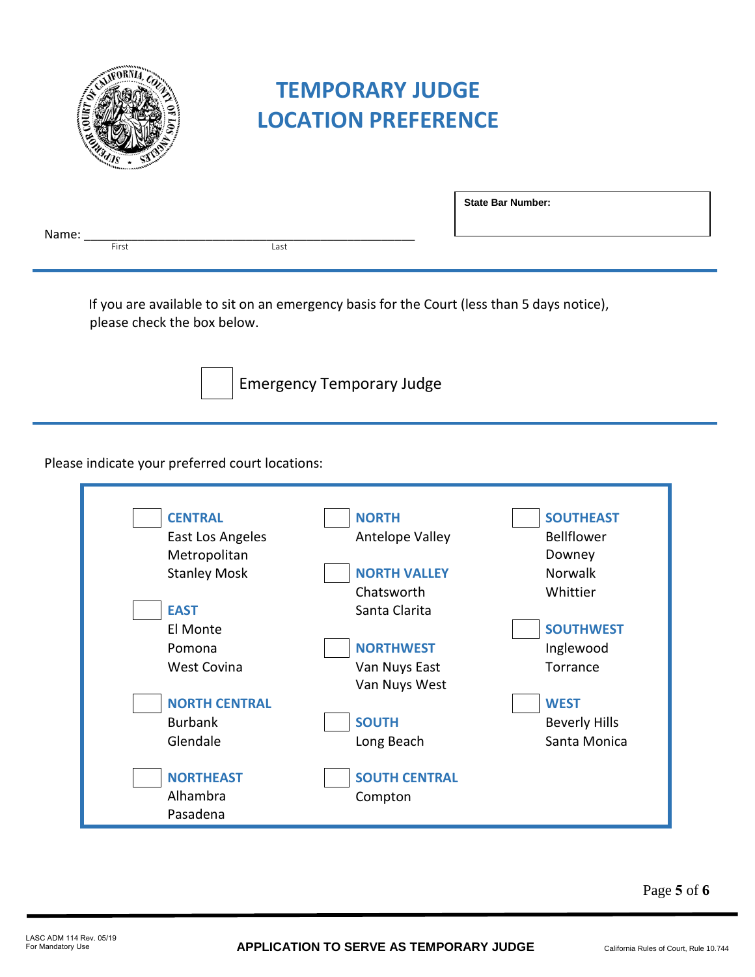

# **TEMPORARY JUDGE LOCATION PREFERENCE**

|       |       |      | <b>State Bar Number:</b> |  |
|-------|-------|------|--------------------------|--|
| Name: |       |      |                          |  |
|       | First | Last |                          |  |
|       |       |      |                          |  |

If you are available to sit on an emergency basis for the Court (less than 5 days notice), please check the box below.



Emergency Temporary Judge

Please indicate your preferred court locations:

| <b>CENTRAL</b>       | <b>NORTH</b>         | <b>SOUTHEAST</b>     |
|----------------------|----------------------|----------------------|
| East Los Angeles     | Antelope Valley      | <b>Bellflower</b>    |
| Metropolitan         |                      | Downey               |
| <b>Stanley Mosk</b>  | <b>NORTH VALLEY</b>  | <b>Norwalk</b>       |
|                      | Chatsworth           | Whittier             |
| <b>EAST</b>          | Santa Clarita        |                      |
| El Monte             |                      | <b>SOUTHWEST</b>     |
| Pomona               | <b>NORTHWEST</b>     | Inglewood            |
| <b>West Covina</b>   | Van Nuys East        | Torrance             |
|                      | Van Nuys West        |                      |
| <b>NORTH CENTRAL</b> |                      | <b>WEST</b>          |
| <b>Burbank</b>       | <b>SOUTH</b>         | <b>Beverly Hills</b> |
| Glendale             | Long Beach           | Santa Monica         |
|                      |                      |                      |
| <b>NORTHEAST</b>     | <b>SOUTH CENTRAL</b> |                      |
| Alhambra             | Compton              |                      |
| Pasadena             |                      |                      |